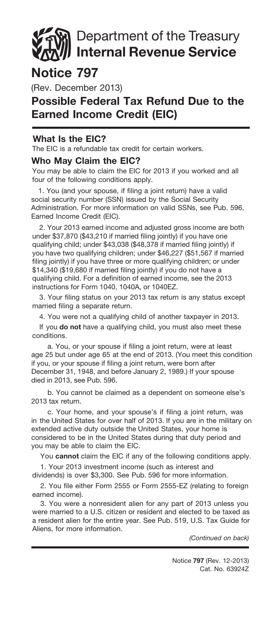# Department of the Treasury Internal Revenue Service

## Notice 797

(Rev. December 2013)

### Possible Federal Tax Refund Due to the Earned Income Credit (EIC)

#### What Is the EIC?

The EIC is a refundable tax credit for certain workers.

#### Who May Claim the EIC?

You may be able to claim the EIC for 2013 if you worked and all four of the following conditions apply.

1. You (and your spouse, if filing a joint return) have a valid social security number (SSN) issued by the Social Security Administration. For more information on valid SSNs, see Pub. 596, Earned Income Credit (EIC).

2. Your 2013 earned income and adjusted gross income are both under \$37,870 (\$43,210 if married filing jointly) if you have one qualifying child; under \$43,038 (\$48,378 if married filing jointly) if you have two qualifying children; under \$46,227 (\$51,567 if married filing jointly) if you have three or more qualifying children; or under \$14,340 (\$19,680 if married filing jointly) if you do not have a qualifying child. For a definition of earned income, see the 2013 instructions for Form 1040, 1040A, or 1040EZ.

3. Your filing status on your 2013 tax return is any status except married filing a separate return.

4. You were not a qualifying child of another taxpayer in 2013.

If you do not have a qualifying child, you must also meet these conditions.

a. You, or your spouse if filing a joint return, were at least age 25 but under age 65 at the end of 2013. (You meet this condition if you, or your spouse if filing a joint return, were born after December 31, 1948, and before January 2, 1989.) If your spouse died in 2013, see Pub. 596.

b. You cannot be claimed as a dependent on someone else's 2013 tax return.

c. Your home, and your spouse's if filing a joint return, was in the United States for over half of 2013. If you are in the military on extended active duty outside the United States, your home is considered to be in the United States during that duty period and you may be able to claim the EIC.

You cannot claim the EIC if any of the following conditions apply.

1. Your 2013 investment income (such as interest and dividends) is over \$3,300. See Pub. 596 for more information.

2. You file either Form 2555 or Form 2555-EZ (relating to foreign earned income).

3. You were a nonresident alien for any part of 2013 unless you were married to a U.S. citizen or resident and elected to be taxed as a resident alien for the entire year. See Pub. 519, U.S. Tax Guide for Aliens, for more information.

*(Continued on back)*

Cat. No. 63924Z Notice 797 (Rev. 12-2013)